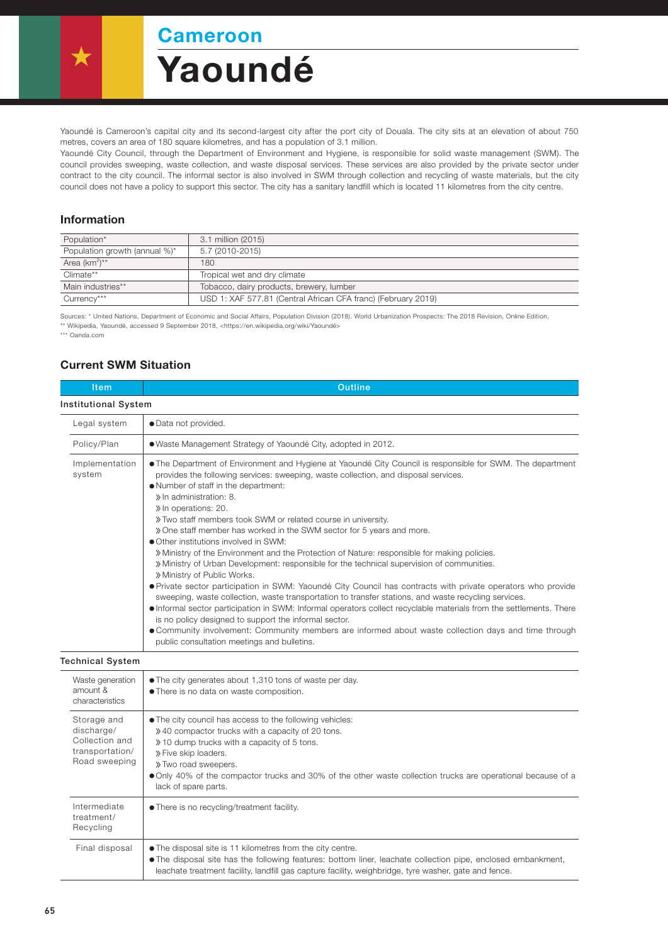Yaoundé Cameroon

Yaoundé is Cameroon's capital city and its second-largest city after the port city of Douala. The city sits at an elevation of about 750 metres, covers an area of 180 square kilometres, and has a population of 3.1 million.

Yaoundé City Council, through the Department of Environment and Hygiene, is responsible for solid waste management (SWM). The council provides sweeping, waste collection, and waste disposal services. These services are also provided by the private sector under contract to the city council. The informal sector is also involved in SWM through collection and recycling of waste materials, but the city council does not have a policy to support this sector. The city has a sanitary landfill which is located 11 kilometres from the city centre.

## Information

| Population*                   | 3.1 million (2015)                                            |  |
|-------------------------------|---------------------------------------------------------------|--|
| Population growth (annual %)* | 5.7 (2010-2015)                                               |  |
| Area $(km^2)^{**}$            | 180                                                           |  |
| Climate**                     | Tropical wet and dry climate                                  |  |
| Main industries**             | Tobacco, dairy products, brewery, lumber                      |  |
| Currency***                   | USD 1: XAF 577.81 (Central African CFA franc) (February 2019) |  |

Sources: \* United Nations, Department of Economic and Social Affairs, Population Division (2018). World Urbanization Prospects: The 2018 Revision, Online Edition. \*\* Wikipedia, Yaoundé, accessed 9 September 2018, <https://en.wikipedia.org/wiki/Yaoundé>

\*\*\* Oanda.com

## Current SWM Situation

| Outline                                                                                                                                                                                                                                                                                                                                                                                                                                                                                                                                                                                                                                                                                                                                                                                                                                                                                                                                                                                                                                                                                                                                                                                                                                                                   |  |  |  |
|---------------------------------------------------------------------------------------------------------------------------------------------------------------------------------------------------------------------------------------------------------------------------------------------------------------------------------------------------------------------------------------------------------------------------------------------------------------------------------------------------------------------------------------------------------------------------------------------------------------------------------------------------------------------------------------------------------------------------------------------------------------------------------------------------------------------------------------------------------------------------------------------------------------------------------------------------------------------------------------------------------------------------------------------------------------------------------------------------------------------------------------------------------------------------------------------------------------------------------------------------------------------------|--|--|--|
| <b>Institutional System</b>                                                                                                                                                                                                                                                                                                                                                                                                                                                                                                                                                                                                                                                                                                                                                                                                                                                                                                                                                                                                                                                                                                                                                                                                                                               |  |  |  |
| • Data not provided.                                                                                                                                                                                                                                                                                                                                                                                                                                                                                                                                                                                                                                                                                                                                                                                                                                                                                                                                                                                                                                                                                                                                                                                                                                                      |  |  |  |
| • Waste Management Strategy of Yaoundé City, adopted in 2012.                                                                                                                                                                                                                                                                                                                                                                                                                                                                                                                                                                                                                                                                                                                                                                                                                                                                                                                                                                                                                                                                                                                                                                                                             |  |  |  |
| • The Department of Environment and Hygiene at Yaoundé City Council is responsible for SWM. The department<br>provides the following services: sweeping, waste collection, and disposal services.<br>• Number of staff in the department:<br>» In administration: 8.<br>» In operations: 20.<br>» Two staff members took SWM or related course in university.<br>» One staff member has worked in the SWM sector for 5 years and more.<br>• Other institutions involved in SWM:<br>» Ministry of the Environment and the Protection of Nature: responsible for making policies.<br>» Ministry of Urban Development: responsible for the technical supervision of communities.<br>» Ministry of Public Works.<br>• Private sector participation in SWM: Yaoundé City Council has contracts with private operators who provide<br>sweeping, waste collection, waste transportation to transfer stations, and waste recycling services.<br>Informal sector participation in SWM: Informal operators collect recyclable materials from the settlements. There<br>is no policy designed to support the informal sector.<br>• Community involvement: Community members are informed about waste collection days and time through<br>public consultation meetings and bulletins. |  |  |  |
|                                                                                                                                                                                                                                                                                                                                                                                                                                                                                                                                                                                                                                                                                                                                                                                                                                                                                                                                                                                                                                                                                                                                                                                                                                                                           |  |  |  |
| • The city generates about 1,310 tons of waste per day.<br>• There is no data on waste composition.                                                                                                                                                                                                                                                                                                                                                                                                                                                                                                                                                                                                                                                                                                                                                                                                                                                                                                                                                                                                                                                                                                                                                                       |  |  |  |
| . The city council has access to the following vehicles:<br>» 40 compactor trucks with a capacity of 20 tons.<br>» 10 dump trucks with a capacity of 5 tons.<br>» Five skip loaders.<br>» Two road sweepers.<br>• Only 40% of the compactor trucks and 30% of the other waste collection trucks are operational because of a<br>lack of spare parts.                                                                                                                                                                                                                                                                                                                                                                                                                                                                                                                                                                                                                                                                                                                                                                                                                                                                                                                      |  |  |  |
| • There is no recycling/treatment facility.                                                                                                                                                                                                                                                                                                                                                                                                                                                                                                                                                                                                                                                                                                                                                                                                                                                                                                                                                                                                                                                                                                                                                                                                                               |  |  |  |
| . The disposal site is 11 kilometres from the city centre.<br>• The disposal site has the following features: bottom liner, leachate collection pipe, enclosed embankment,<br>leachate treatment facility, landfill gas capture facility, weighbridge, tyre washer, gate and fence.                                                                                                                                                                                                                                                                                                                                                                                                                                                                                                                                                                                                                                                                                                                                                                                                                                                                                                                                                                                       |  |  |  |
|                                                                                                                                                                                                                                                                                                                                                                                                                                                                                                                                                                                                                                                                                                                                                                                                                                                                                                                                                                                                                                                                                                                                                                                                                                                                           |  |  |  |